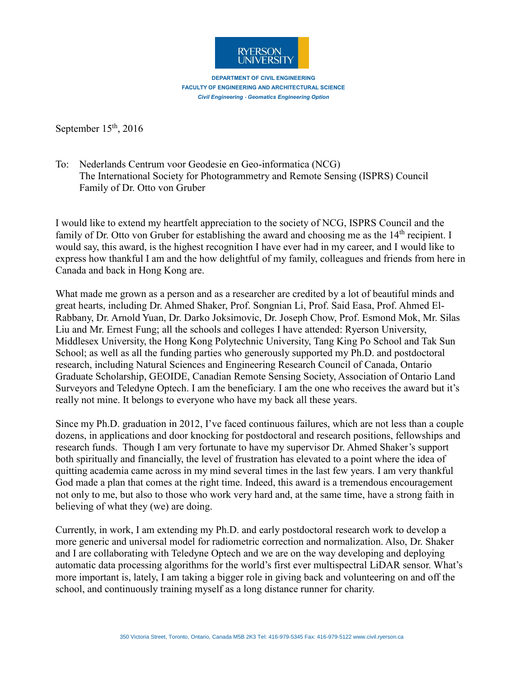

**DEPARTMENT OF CIVIL ENGINEERING FACULTY OF ENGINEERING AND ARCHITECTURAL SCIENCE Civil Engineering · Geomatics Engineering Option** 

September  $15<sup>th</sup>$ , 2016

To: Nederlands Centrum voor Geodesie en Geo-informatica (NCG) The International Society for Photogrammetry and Remote Sensing (ISPRS) Council Family of Dr. Otto von Gruber

I would like to extend my heartfelt appreciation to the society of NCG, ISPRS Council and the family of Dr. Otto von Gruber for establishing the award and choosing me as the  $14<sup>th</sup>$  recipient. I would say, this award, is the highest recognition I have ever had in my career, and I would like to express how thankful I am and the how delightful of my family, colleagues and friends from here in Canada and back in Hong Kong are.

What made me grown as a person and as a researcher are credited by a lot of beautiful minds and great hearts, including Dr. Ahmed Shaker, Prof. Songnian Li, Prof. Said Easa, Prof. Ahmed El-Rabbany, Dr. Arnold Yuan, Dr. Darko Joksimovic, Dr. Joseph Chow, Prof. Esmond Mok, Mr. Silas Liu and Mr. Ernest Fung; all the schools and colleges I have attended: Ryerson University, Middlesex University, the Hong Kong Polytechnic University, Tang King Po School and Tak Sun School; as well as all the funding parties who generously supported my Ph.D. and postdoctoral research, including Natural Sciences and Engineering Research Council of Canada, Ontario Graduate Scholarship, GEOIDE, Canadian Remote Sensing Society, Association of Ontario Land Surveyors and Teledyne Optech. I am the beneficiary. I am the one who receives the award but it's really not mine. It belongs to everyone who have my back all these years.

Since my Ph.D. graduation in 2012, I've faced continuous failures, which are not less than a couple dozens, in applications and door knocking for postdoctoral and research positions, fellowships and research funds. Though I am very fortunate to have my supervisor Dr. Ahmed Shaker's support both spiritually and financially, the level of frustration has elevated to a point where the idea of quitting academia came across in my mind several times in the last few years. I am very thankful God made a plan that comes at the right time. Indeed, this award is a tremendous encouragement not only to me, but also to those who work very hard and, at the same time, have a strong faith in believing of what they (we) are doing.

Currently, in work, I am extending my Ph.D. and early postdoctoral research work to develop a more generic and universal model for radiometric correction and normalization. Also, Dr. Shaker and I are collaborating with Teledyne Optech and we are on the way developing and deploying automatic data processing algorithms for the world's first ever multispectral LiDAR sensor. What's more important is, lately, I am taking a bigger role in giving back and volunteering on and off the school, and continuously training myself as a long distance runner for charity.